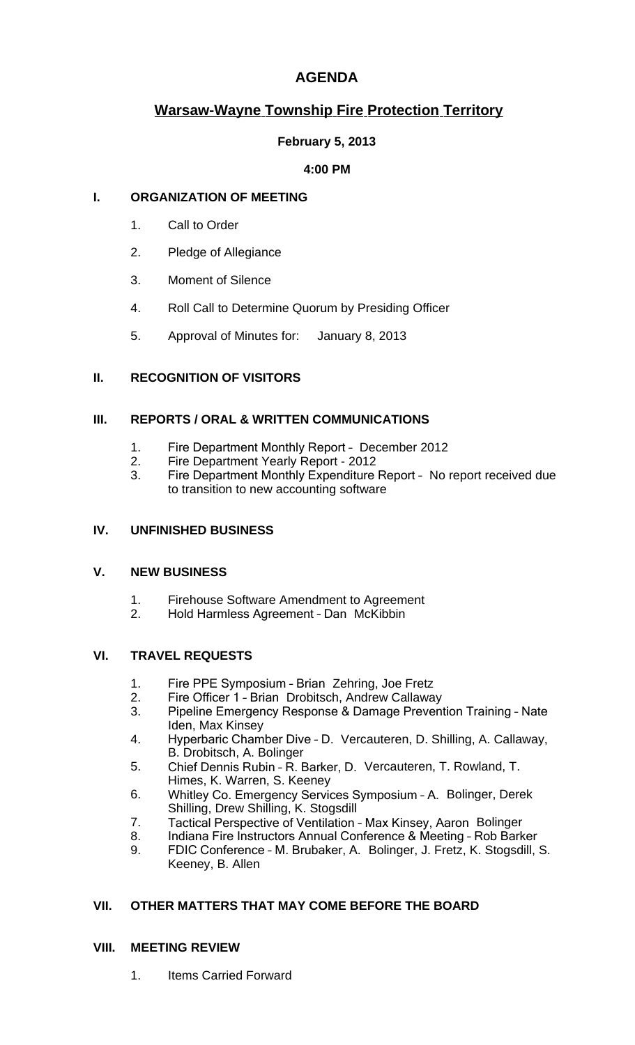## **AGENDA**

# **Warsaw-Wayne Township Fire Protection Territory**

#### **February 5, 2013**

#### **4:00 PM**

#### **I. ORGANIZATION OF MEETING**

- 1. Call to Order
- 2. Pledge of Allegiance
- 3. Moment of Silence
- 4. Roll Call to Determine Quorum by Presiding Officer
- 5. Approval of Minutes for: January 8, 2013

## **II. RECOGNITION OF VISITORS**

#### **III. REPORTS / ORAL & WRITTEN COMMUNICATIONS**

- 1. Fire Department Monthly Report December 2012
- 2. Fire Department Yearly Report 2012
- 3. Fire Department Monthly Expenditure Report No report received due to transition to new accounting software

#### **IV. UNFINISHED BUSINESS**

#### **V. NEW BUSINESS**

- 1. Firehouse Software Amendment to Agreement<br>2. Hold Harmless Agreement Dan McKibbin
- 2. Hold Harmless Agreement Dan McKibbin

### **VI. TRAVEL REQUESTS**

- 1. Fire PPE Symposium Brian Zehring, Joe Fretz
- 2. Fire Officer 1 Brian Drobitsch, Andrew Callaway<br>3. Pineline Emergency Response & Damage Prevent
- 3. Pipeline Emergency Response & Damage Prevention Training Nate Iden, Max Kinsey
- 4. Hyperbaric Chamber Dive D. Vercauteren, D. Shilling, A. Callaway, B. Drobitsch, A. Bolinger
- 5. Chief Dennis Rubin R. Barker, D. Vercauteren, T. Rowland, T. Himes, K. Warren, S. Keeney
- 6. Whitley Co. Emergency Services Symposium A. Bolinger, Derek Shilling, Drew Shilling, K. Stogsdill
- 7. Tactical Perspective of Ventilation Max Kinsey, Aaron Bolinger
- 8. Indiana Fire Instructors Annual Conference & Meeting Rob Barker<br>9. FDIC Conference M. Brubaker, A. Bolinger, J. Fretz, K. Stogsdill.
- FDIC Conference M. Brubaker, A. Bolinger, J. Fretz, K. Stogsdill, S. Keeney, B. Allen

### **VII. OTHER MATTERS THAT MAY COME BEFORE THE BOARD**

#### **VIII. MEETING REVIEW**

1. Items Carried Forward